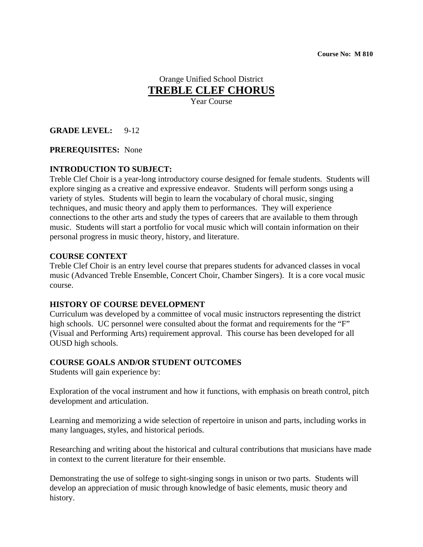# Orange Unified School District **TREBLE CLEF CHORUS**

Year Course

### **GRADE LEVEL:** 9-12

#### **PREREQUISITES:** None

### **INTRODUCTION TO SUBJECT:**

Treble Clef Choir is a year-long introductory course designed for female students. Students will explore singing as a creative and expressive endeavor. Students will perform songs using a variety of styles. Students will begin to learn the vocabulary of choral music, singing techniques, and music theory and apply them to performances. They will experience connections to the other arts and study the types of careers that are available to them through music. Students will start a portfolio for vocal music which will contain information on their personal progress in music theory, history, and literature.

#### **COURSE CONTEXT**

Treble Clef Choir is an entry level course that prepares students for advanced classes in vocal music (Advanced Treble Ensemble, Concert Choir, Chamber Singers). It is a core vocal music course.

#### **HISTORY OF COURSE DEVELOPMENT**

Curriculum was developed by a committee of vocal music instructors representing the district high schools. UC personnel were consulted about the format and requirements for the "F" (Visual and Performing Arts) requirement approval. This course has been developed for all OUSD high schools.

### **COURSE GOALS AND/OR STUDENT OUTCOMES**

Students will gain experience by:

Exploration of the vocal instrument and how it functions, with emphasis on breath control, pitch development and articulation.

Learning and memorizing a wide selection of repertoire in unison and parts, including works in many languages, styles, and historical periods.

Researching and writing about the historical and cultural contributions that musicians have made in context to the current literature for their ensemble.

Demonstrating the use of solfege to sight-singing songs in unison or two parts. Students will develop an appreciation of music through knowledge of basic elements, music theory and history.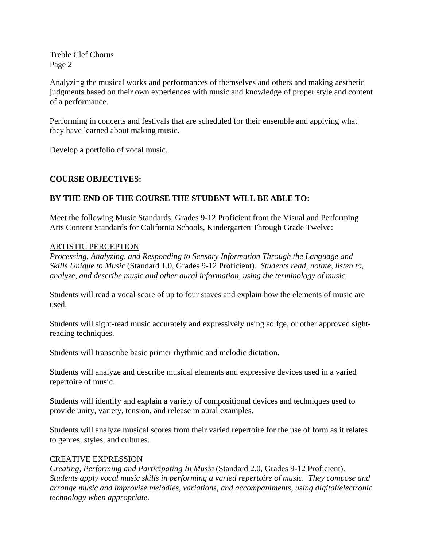Analyzing the musical works and performances of themselves and others and making aesthetic judgments based on their own experiences with music and knowledge of proper style and content of a performance.

Performing in concerts and festivals that are scheduled for their ensemble and applying what they have learned about making music.

Develop a portfolio of vocal music.

### **COURSE OBJECTIVES:**

### **BY THE END OF THE COURSE THE STUDENT WILL BE ABLE TO:**

Meet the following Music Standards, Grades 9-12 Proficient from the Visual and Performing Arts Content Standards for California Schools, Kindergarten Through Grade Twelve:

### ARTISTIC PERCEPTION

*Processing, Analyzing, and Responding to Sensory Information Through the Language and Skills Unique to Music* (Standard 1.0, Grades 9-12 Proficient). *Students read, notate, listen to, analyze, and describe music and other aural information, using the terminology of music.*

Students will read a vocal score of up to four staves and explain how the elements of music are used.

Students will sight-read music accurately and expressively using solfge, or other approved sightreading techniques.

Students will transcribe basic primer rhythmic and melodic dictation.

Students will analyze and describe musical elements and expressive devices used in a varied repertoire of music.

Students will identify and explain a variety of compositional devices and techniques used to provide unity, variety, tension, and release in aural examples.

Students will analyze musical scores from their varied repertoire for the use of form as it relates to genres, styles, and cultures.

### CREATIVE EXPRESSION

*Creating, Performing and Participating In Music* (Standard 2.0, Grades 9-12 Proficient). *Students apply vocal music skills in performing a varied repertoire of music. They compose and arrange music and improvise melodies, variations, and accompaniments, using digital/electronic technology when appropriate.*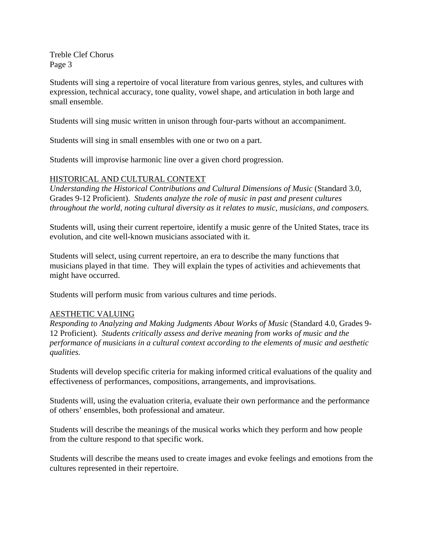Students will sing a repertoire of vocal literature from various genres, styles, and cultures with expression, technical accuracy, tone quality, vowel shape, and articulation in both large and small ensemble.

Students will sing music written in unison through four-parts without an accompaniment.

Students will sing in small ensembles with one or two on a part.

Students will improvise harmonic line over a given chord progression.

### HISTORICAL AND CULTURAL CONTEXT

*Understanding the Historical Contributions and Cultural Dimensions of Music* (Standard 3.0, Grades 9-12 Proficient). *Students analyze the role of music in past and present cultures throughout the world, noting cultural diversity as it relates to music, musicians, and composers.* 

Students will, using their current repertoire, identify a music genre of the United States, trace its evolution, and cite well-known musicians associated with it.

Students will select, using current repertoire, an era to describe the many functions that musicians played in that time. They will explain the types of activities and achievements that might have occurred.

Students will perform music from various cultures and time periods.

### AESTHETIC VALUING

*Responding to Analyzing and Making Judgments About Works of Music* (Standard 4.0, Grades 9- 12 Proficient). *Students critically assess and derive meaning from works of music and the performance of musicians in a cultural context according to the elements of music and aesthetic qualities.* 

Students will develop specific criteria for making informed critical evaluations of the quality and effectiveness of performances, compositions, arrangements, and improvisations.

Students will, using the evaluation criteria, evaluate their own performance and the performance of others' ensembles, both professional and amateur.

Students will describe the meanings of the musical works which they perform and how people from the culture respond to that specific work.

Students will describe the means used to create images and evoke feelings and emotions from the cultures represented in their repertoire.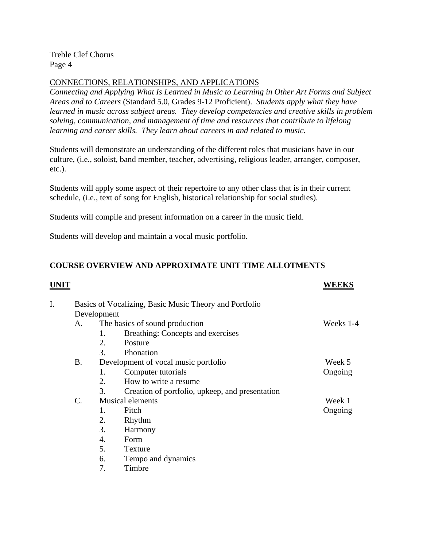# CONNECTIONS, RELATIONSHIPS, AND APPLICATIONS

*Connecting and Applying What Is Learned in Music to Learning in Other Art Forms and Subject Areas and to Careers* (Standard 5.0, Grades 9-12 Proficient). *Students apply what they have learned in music across subject areas. They develop competencies and creative skills in problem solving, communication, and management of time and resources that contribute to lifelong learning and career skills. They learn about careers in and related to music.* 

Students will demonstrate an understanding of the different roles that musicians have in our culture, (i.e., soloist, band member, teacher, advertising, religious leader, arranger, composer, etc.).

Students will apply some aspect of their repertoire to any other class that is in their current schedule, (i.e., text of song for English, historical relationship for social studies).

Students will compile and present information on a career in the music field.

Students will develop and maintain a vocal music portfolio.

## **COURSE OVERVIEW AND APPROXIMATE UNIT TIME ALLOTMENTS**

|    |                                                        |                                      |                                                 | <b>WEEKS</b> |  |
|----|--------------------------------------------------------|--------------------------------------|-------------------------------------------------|--------------|--|
| I. | Basics of Vocalizing, Basic Music Theory and Portfolio |                                      |                                                 |              |  |
|    | Development                                            |                                      |                                                 |              |  |
|    | A.                                                     | The basics of sound production       | Weeks 1-4                                       |              |  |
|    |                                                        | 1.                                   | Breathing: Concepts and exercises               |              |  |
|    |                                                        | 2.                                   | Posture                                         |              |  |
|    |                                                        | 3.                                   | Phonation                                       |              |  |
|    | Β.                                                     | Development of vocal music portfolio |                                                 | Week 5       |  |
|    |                                                        | 1.                                   | Computer tutorials                              | Ongoing      |  |
|    |                                                        | 2.                                   | How to write a resume.                          |              |  |
|    |                                                        | 3.                                   | Creation of portfolio, upkeep, and presentation |              |  |
|    | C.                                                     | <b>Musical elements</b>              |                                                 | Week 1       |  |
|    |                                                        | 1.                                   | Pitch                                           | Ongoing      |  |
|    |                                                        | 2.                                   | Rhythm                                          |              |  |
|    |                                                        | 3.                                   | Harmony                                         |              |  |
|    |                                                        | 4.                                   | Form                                            |              |  |
|    |                                                        | 5.                                   | Texture                                         |              |  |
|    |                                                        | 6.                                   | Tempo and dynamics                              |              |  |

7. Timbre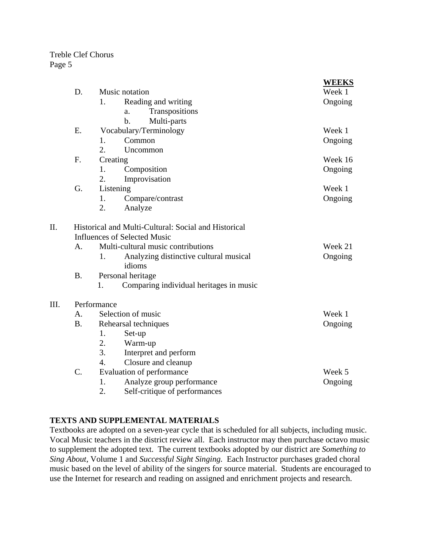$III.$ 

|      |             |                                                        | <b>WEEKS</b> |  |  |  |  |
|------|-------------|--------------------------------------------------------|--------------|--|--|--|--|
|      | D.          | Music notation                                         | Week 1       |  |  |  |  |
|      |             | 1.<br>Reading and writing                              | Ongoing      |  |  |  |  |
|      |             | Transpositions<br>a.                                   |              |  |  |  |  |
|      |             | Multi-parts<br>b.                                      |              |  |  |  |  |
|      | E.          | Vocabulary/Terminology                                 | Week 1       |  |  |  |  |
|      |             | Common<br>1.                                           | Ongoing      |  |  |  |  |
|      |             | 2.<br>Uncommon                                         |              |  |  |  |  |
|      | F.          | Creating                                               | Week 16      |  |  |  |  |
|      |             | 1.<br>Composition                                      | Ongoing      |  |  |  |  |
|      |             | 2.<br>Improvisation                                    |              |  |  |  |  |
|      | G.          | Listening                                              | Week 1       |  |  |  |  |
|      |             | Compare/contrast<br>1.                                 | Ongoing      |  |  |  |  |
|      |             | 2.<br>Analyze                                          |              |  |  |  |  |
| II.  |             | Historical and Multi-Cultural: Social and Historical   |              |  |  |  |  |
|      |             | <b>Influences of Selected Music</b>                    |              |  |  |  |  |
|      | A.          | Multi-cultural music contributions                     | Week 21      |  |  |  |  |
|      |             | Analyzing distinctive cultural musical<br>1.<br>idioms | Ongoing      |  |  |  |  |
|      | <b>B.</b>   | Personal heritage                                      |              |  |  |  |  |
|      |             | Comparing individual heritages in music<br>1.          |              |  |  |  |  |
| III. | Performance |                                                        |              |  |  |  |  |
|      | А.          | Selection of music                                     | Week 1       |  |  |  |  |
|      | <b>B.</b>   | Rehearsal techniques                                   | Ongoing      |  |  |  |  |
|      |             | 1.<br>Set-up                                           |              |  |  |  |  |
|      |             | 2.<br>Warm-up                                          |              |  |  |  |  |
|      |             | 3.<br>Interpret and perform                            |              |  |  |  |  |
|      |             | Closure and cleanup<br>$\overline{4}$ .                |              |  |  |  |  |
|      | C.          | Evaluation of performance                              | Week 5       |  |  |  |  |
|      |             | Analyze group performance<br>1.                        | Ongoing      |  |  |  |  |
|      |             | 2.<br>Self-critique of performances                    |              |  |  |  |  |

### **TEXTS AND SUPPLEMENTAL MATERIALS**

Textbooks are adopted on a seven-year cycle that is scheduled for all subjects, including music. Vocal Music teachers in the district review all. Each instructor may then purchase octavo music to supplement the adopted text. The current textbooks adopted by our district are *Something to Sing About*, Volume 1 and *Successful Sight Singing.* Each Instructor purchases graded choral music based on the level of ability of the singers for source material. Students are encouraged to use the Internet for research and reading on assigned and enrichment projects and research.